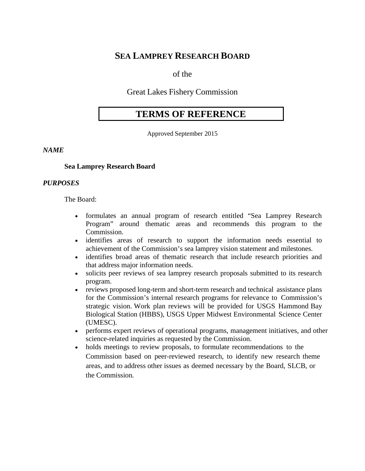# **SEA LAMPREY RESEARCH BOARD**

of the

Great Lakes Fishery Commission

# **TERMS OF REFERENCE**

Approved September 2015

*NAME*

## **Sea Lamprey Research Board**

## *PURPOSES*

The Board:

- formulates an annual program of research entitled "Sea Lamprey Research Program" around thematic areas and recommends this program to the Commission.
- identifies areas of research to support the information needs essential to achievement of the Commission's sea lamprey vision statement and milestones.
- identifies broad areas of thematic research that include research priorities and that address major information needs.
- solicits peer reviews of sea lamprey research proposals submitted to its research program.
- reviews proposed long-term and short-term research and technical assistance plans for the Commission's internal research programs for relevance to Commission's strategic vision. Work plan reviews will be provided for USGS Hammond Bay Biological Station (HBBS), USGS Upper Midwest Environmental Science Center (UMESC).
- performs expert reviews of operational programs, management initiatives, and other science-related inquiries as requested by the Commission.
- holds meetings to review proposals, to formulate recommendations to the Commission based on peer-reviewed research, to identify new research theme areas, and to address other issues as deemed necessary by the Board, SLCB, or the Commission.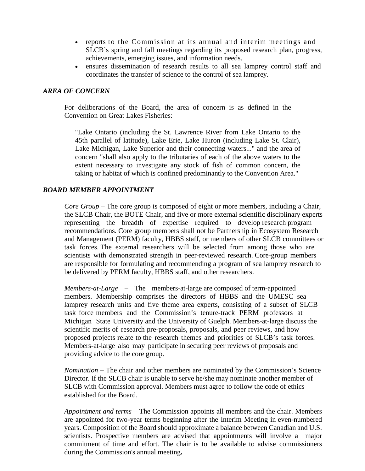- reports to the Commission at its annual and interim meetings and SLCB's spring and fall meetings regarding its proposed research plan, progress, achievements, emerging issues, and information needs.
- ensures dissemination of research results to all sea lamprey control staff and coordinates the transfer of science to the control of sea lamprey.

## *AREA OF CONCERN*

For deliberations of the Board, the area of concern is as defined in the Convention on Great Lakes Fisheries:

"Lake Ontario (including the St. Lawrence River from Lake Ontario to the 45th parallel of latitude), Lake Erie, Lake Huron (including Lake St. Clair), Lake Michigan, Lake Superior and their connecting waters..." and the area of concern "shall also apply to the tributaries of each of the above waters to the extent necessary to investigate any stock of fish of common concern, the taking or habitat of which is confined predominantly to the Convention Area."

### *BOARD MEMBER APPOINTMENT*

*Core Group* – The core group is composed of eight or more members, including a Chair, the SLCB Chair, the BOTE Chair, and five or more external scientific disciplinary experts representing the breadth of expertise required to develop research program recommendations. Core group members shall not be Partnership in Ecosystem Research and Management (PERM) faculty, HBBS staff, or members of other SLCB committees or task forces. The external researchers will be selected from among those who are scientists with demonstrated strength in peer-reviewed research. Core-group members are responsible for formulating and recommending a program of sea lamprey research to be delivered by PERM faculty, HBBS staff, and other researchers.

*Members-at-Large* – The members-at-large are composed of term-appointed members. Membership comprises the directors of HBBS and the UMESC sea lamprey research units and five theme area experts, consisting of a subset of SLCB task force members and the Commission's tenure-track PERM professors at Michigan State University and the University of Guelph. Members-at-large discuss the scientific merits of research pre-proposals, proposals, and peer reviews, and how proposed projects relate to the research themes and priorities of SLCB's task forces. Members-at-large also may participate in securing peer reviews of proposals and providing advice to the core group.

*Nomination* – The chair and other members are nominated by the Commission's Science Director. If the SLCB chair is unable to serve he/she may nominate another member of SLCB with Commission approval. Members must agree to follow the code of ethics established for the Board.

*Appointment and terms* – The Commission appoints all members and the chair. Members are appointed for two-year terms beginning after the Interim Meeting in even-numbered years. Composition of the Board should approximate a balance between Canadian and U.S. scientists. Prospective members are advised that appointments will involve a major commitment of time and effort. The chair is to be available to advise commissioners during the Commission's annual meeting**.**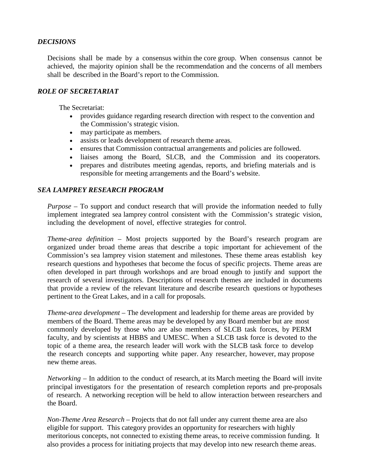## *DECISIONS*

Decisions shall be made by a consensus within the core group. When consensus cannot be achieved, the majority opinion shall be the recommendation and the concerns of all members shall be described in the Board's report to the Commission.

## *ROLE OF SECRETARIAT*

The Secretariat:

- provides guidance regarding research direction with respect to the convention and the Commission's strategic vision.
- may participate as members.
- assists or leads development of research theme areas.
- ensures that Commission contractual arrangements and policies are followed.
- liaises among the Board, SLCB, and the Commission and its cooperators.
- prepares and distributes meeting agendas, reports, and briefing materials and is responsible for meeting arrangements and the Board's website.

## *SEA LAMPREY RESEARCH PROGRAM*

*Purpose* – To support and conduct research that will provide the information needed to fully implement integrated sea lamprey control consistent with the Commission's strategic vision, including the development of novel, effective strategies for control.

*Theme-area definition* – Most projects supported by the Board's research program are organized under broad theme areas that describe a topic important for achievement of the Commission's sea lamprey vision statement and milestones. These theme areas establish key research questions and hypotheses that become the focus of specific projects. Theme areas are often developed in part through workshops and are broad enough to justify and support the research of several investigators. Descriptions of research themes are included in documents that provide a review of the relevant literature and describe research questions or hypotheses pertinent to the Great Lakes, and in a call for proposals.

*Theme-area development* – The development and leadership for theme areas are provided by members of the Board. Theme areas may be developed by any Board member but are most commonly developed by those who are also members of SLCB task forces, by PERM faculty, and by scientists at HBBS and UMESC. When a SLCB task force is devoted to the topic of a theme area, the research leader will work with the SLCB task force to develop the research concepts and supporting white paper. Any researcher, however, may propose new theme areas.

*Networking* – In addition to the conduct of research, at its March meeting the Board will invite principal investigators for the presentation of research completion reports and pre-proposals of research. A networking reception will be held to allow interaction between researchers and the Board.

*Non-Theme Area Research* – Projects that do not fall under any current theme area are also eligible for support. This category provides an opportunity for researchers with highly meritorious concepts, not connected to existing theme areas, to receive commission funding. It also provides a process for initiating projects that may develop into new research theme areas.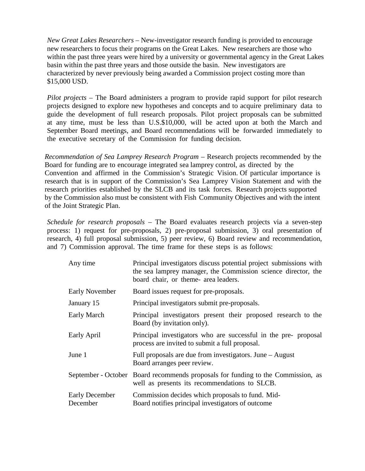*New Great Lakes Researchers* – New-investigator research funding is provided to encourage new researchers to focus their programs on the Great Lakes. New researchers are those who within the past three years were hired by a university or governmental agency in the Great Lakes basin within the past three years and those outside the basin. New investigators are characterized by never previously being awarded a Commission project costing more than \$15,000 USD.

*Pilot projects* – The Board administers a program to provide rapid support for pilot research projects designed to explore new hypotheses and concepts and to acquire preliminary data to guide the development of full research proposals. Pilot project proposals can be submitted at any time, must be less than U.S.\$10,000, will be acted upon at both the March and September Board meetings, and Board recommendations will be forwarded immediately to the executive secretary of the Commission for funding decision.

*Recommendation of Sea Lamprey Research Program* – Research projects recommended by the Board for funding are to encourage integrated sea lamprey control, as directed by the Convention and affirmed in the Commission's Strategic Vision. Of particular importance is research that is in support of the Commission's Sea Lamprey Vision Statement and with the research priorities established by the SLCB and its task forces. Research projects supported by the Commission also must be consistent with Fish Community Objectives and with the intent of the Joint Strategic Plan.

*Schedule for research proposals* – The Board evaluates research projects via a seven-step process: 1) request for pre-proposals, 2) pre-proposal submission, 3) oral presentation of research, 4) full proposal submission, 5) peer review, 6) Board review and recommendation, and 7) Commission approval. The time frame for these steps is as follows:

| Any time                          | Principal investigators discuss potential project submissions with<br>the sea lamprey manager, the Commission science director, the<br>board chair, or theme- area leaders. |
|-----------------------------------|-----------------------------------------------------------------------------------------------------------------------------------------------------------------------------|
| <b>Early November</b>             | Board issues request for pre-proposals.                                                                                                                                     |
| January 15                        | Principal investigators submit pre-proposals.                                                                                                                               |
| Early March                       | Principal investigators present their proposed research to the<br>Board (by invitation only).                                                                               |
| Early April                       | Principal investigators who are successful in the pre- proposal<br>process are invited to submit a full proposal.                                                           |
| June 1                            | Full proposals are due from investigators. June – August<br>Board arranges peer review.                                                                                     |
|                                   | September - October Board recommends proposals for funding to the Commission, as<br>well as presents its recommendations to SLCB.                                           |
| <b>Early December</b><br>December | Commission decides which proposals to fund. Mid-<br>Board notifies principal investigators of outcome                                                                       |